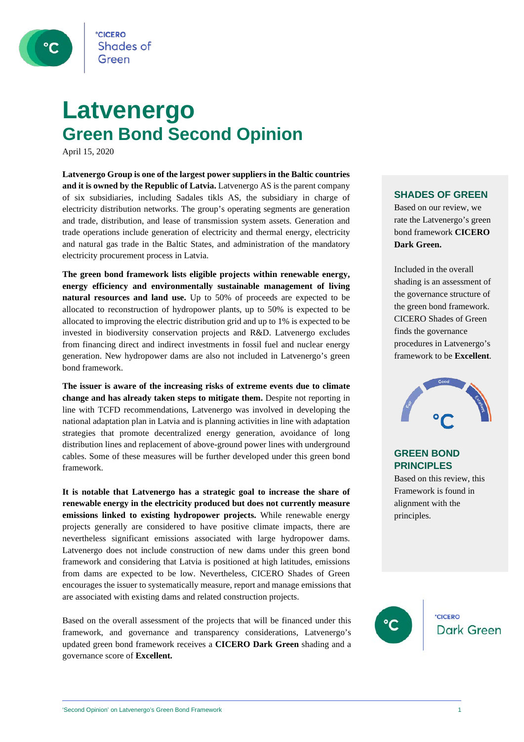

**CICERO Shades of** 

### **Latvenergo Green Bond Second Opinion**

April 15, 2020

**Latvenergo Group is one of the largest power suppliers in the Baltic countries and it is owned by the Republic of Latvia.** Latvenergo AS is the parent company of six subsidiaries, including Sadales tikls AS, the subsidiary in charge of electricity distribution networks. The group's operating segments are generation and trade, distribution, and lease of transmission system assets. Generation and trade operations include generation of electricity and thermal energy, electricity and natural gas trade in the Baltic States, and administration of the mandatory electricity procurement process in Latvia.

**The green bond framework lists eligible projects within renewable energy, energy efficiency and environmentally sustainable management of living natural resources and land use.** Up to 50% of proceeds are expected to be allocated to reconstruction of hydropower plants, up to 50% is expected to be allocated to improving the electric distribution grid and up to 1% is expected to be invested in biodiversity conservation projects and R&D. Latvenergo excludes from financing direct and indirect investments in fossil fuel and nuclear energy generation. New hydropower dams are also not included in Latvenergo's green bond framework.

**The issuer is aware of the increasing risks of extreme events due to climate change and has already taken steps to mitigate them.** Despite not reporting in line with TCFD recommendations, Latvenergo was involved in developing the national adaptation plan in Latvia and is planning activities in line with adaptation strategies that promote decentralized energy generation, avoidance of long distribution lines and replacement of above-ground power lines with underground cables. Some of these measures will be further developed under this green bond framework.

**It is notable that Latvenergo has a strategic goal to increase the share of renewable energy in the electricity produced but does not currently measure emissions linked to existing hydropower projects.** While renewable energy projects generally are considered to have positive climate impacts, there are nevertheless significant emissions associated with large hydropower dams. Latvenergo does not include construction of new dams under this green bond framework and considering that Latvia is positioned at high latitudes, emissions from dams are expected to be low. Nevertheless, CICERO Shades of Green encourages the issuer to systematically measure, report and manage emissions that are associated with existing dams and related construction projects.

Based on the overall assessment of the projects that will be financed under this framework, and governance and transparency considerations, Latvenergo's updated green bond framework receives a **CICERO Dark Green** shading and a governance score of **Excellent.**

#### **SHADES OF GREEN**

Based on our review, we rate the Latvenergo's green bond framework **CICERO Dark Green.** 

Included in the overall shading is an assessment of the governance structure of the green bond framework. CICERO Shades of Green finds the governance procedures in Latvenergo's framework to be **Excellent**.



#### **GREEN BOND PRINCIPLES**

Based on this review, this Framework is found in alignment with the principles.

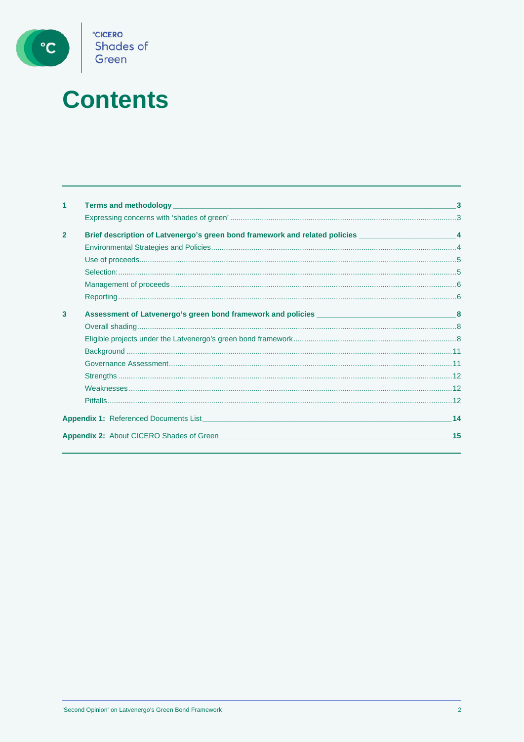

## **Contents**

| 1              |                                                                                                       |    |
|----------------|-------------------------------------------------------------------------------------------------------|----|
|                |                                                                                                       |    |
| $\overline{2}$ | Brief description of Latvenergo's green bond framework and related policies ________________________4 |    |
|                |                                                                                                       |    |
|                |                                                                                                       |    |
|                |                                                                                                       |    |
|                |                                                                                                       |    |
|                |                                                                                                       |    |
| 3              |                                                                                                       |    |
|                |                                                                                                       |    |
|                |                                                                                                       |    |
|                |                                                                                                       |    |
|                |                                                                                                       |    |
|                |                                                                                                       |    |
|                |                                                                                                       |    |
|                |                                                                                                       |    |
|                |                                                                                                       | 14 |
|                | <b>Appendix 2: About CICERO Shades of Green</b>                                                       | 15 |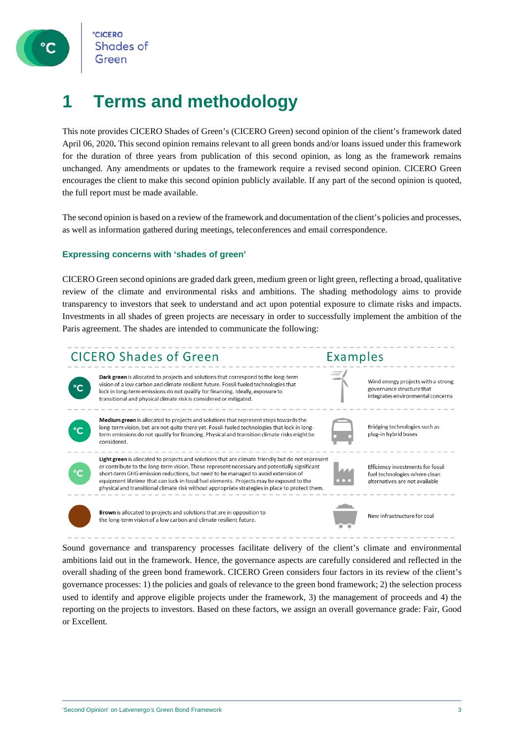

### **1 Terms and methodology**

This note provides CICERO Shades of Green's (CICERO Green) second opinion of the client's framework dated April 06, 2020**.** This second opinion remains relevant to all green bonds and/or loans issued under this framework for the duration of three years from publication of this second opinion, as long as the framework remains unchanged. Any amendments or updates to the framework require a revised second opinion. CICERO Green encourages the client to make this second opinion publicly available. If any part of the second opinion is quoted, the full report must be made available.

The second opinion is based on a review of the framework and documentation of the client's policies and processes, as well as information gathered during meetings, teleconferences and email correspondence.

#### **Expressing concerns with 'shades of green'**

CICERO Green second opinions are graded dark green, medium green or light green, reflecting a broad, qualitative review of the climate and environmental risks and ambitions. The shading methodology aims to provide transparency to investors that seek to understand and act upon potential exposure to climate risks and impacts. Investments in all shades of green projects are necessary in order to successfully implement the ambition of the Paris agreement. The shades are intended to communicate the following:



Sound governance and transparency processes facilitate delivery of the client's climate and environmental ambitions laid out in the framework. Hence, the governance aspects are carefully considered and reflected in the overall shading of the green bond framework. CICERO Green considers four factors in its review of the client's governance processes: 1) the policies and goals of relevance to the green bond framework; 2) the selection process used to identify and approve eligible projects under the framework, 3) the management of proceeds and 4) the reporting on the projects to investors. Based on these factors, we assign an overall governance grade: Fair, Good or Excellent.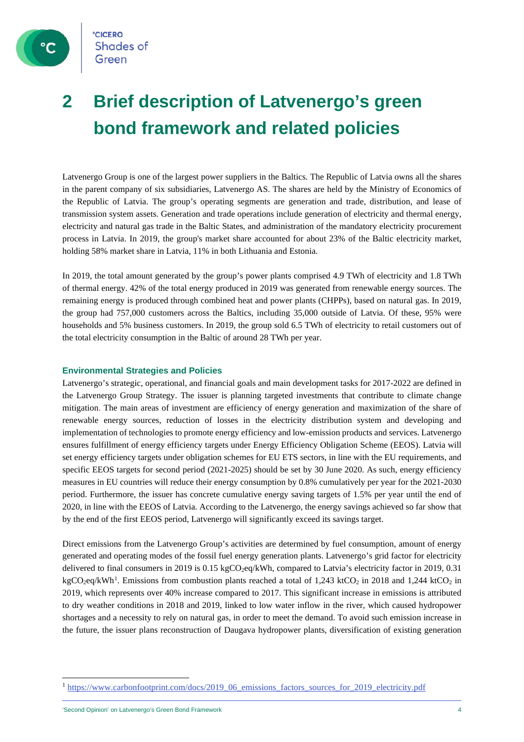

### **2 Brief description of Latvenergo's green bond framework and related policies**

Latvenergo Group is one of the largest power suppliers in the Baltics. The Republic of Latvia owns all the shares in the parent company of six subsidiaries, Latvenergo AS. The shares are held by the Ministry of Economics of the Republic of Latvia. The group's operating segments are generation and trade, distribution, and lease of transmission system assets. Generation and trade operations include generation of electricity and thermal energy, electricity and natural gas trade in the Baltic States, and administration of the mandatory electricity procurement process in Latvia. In 2019, the group's market share accounted for about 23% of the Baltic electricity market, holding 58% market share in Latvia, 11% in both Lithuania and Estonia.

In 2019, the total amount generated by the group's power plants comprised 4.9 TWh of electricity and 1.8 TWh of thermal energy. 42% of the total energy produced in 2019 was generated from renewable energy sources. The remaining energy is produced through combined heat and power plants (CHPPs), based on natural gas. In 2019, the group had 757,000 customers across the Baltics, including 35,000 outside of Latvia. Of these, 95% were households and 5% business customers. In 2019, the group sold 6.5 TWh of electricity to retail customers out of the total electricity consumption in the Baltic of around 28 TWh per year.

#### **Environmental Strategies and Policies**

Latvenergo's strategic, operational, and financial goals and main development tasks for 2017-2022 are defined in the Latvenergo Group Strategy. The issuer is planning targeted investments that contribute to climate change mitigation. The main areas of investment are efficiency of energy generation and maximization of the share of renewable energy sources, reduction of losses in the electricity distribution system and developing and implementation of technologies to promote energy efficiency and low-emission products and services. Latvenergo ensures fulfillment of energy efficiency targets under Energy Efficiency Obligation Scheme (EEOS). Latvia will set energy efficiency targets under obligation schemes for EU ETS sectors, in line with the EU requirements, and specific EEOS targets for second period (2021-2025) should be set by 30 June 2020. As such, energy efficiency measures in EU countries will reduce their energy consumption by 0.8% cumulatively per year for the 2021-2030 period. Furthermore, the issuer has concrete cumulative energy saving targets of 1.5% per year until the end of 2020, in line with the EEOS of Latvia. According to the Latvenergo, the energy savings achieved so far show that by the end of the first EEOS period, Latvenergo will significantly exceed its savings target.

Direct emissions from the Latvenergo Group's activities are determined by fuel consumption, amount of energy generated and operating modes of the fossil fuel energy generation plants. Latvenergo's grid factor for electricity delivered to final consumers in 2019 is 0.15 kgCO<sub>2</sub>eq/kWh, compared to Latvia's electricity factor in 2019, 0.31 kgCO<sub>2</sub>eq/kWh<sup>[1](#page-3-0)</sup>. Emissions from combustion plants reached a total of 1,243 ktCO<sub>2</sub> in 2018 and 1,244 ktCO<sub>2</sub> in 2019, which represents over 40% increase compared to 2017. This significant increase in emissions is attributed to dry weather conditions in 2018 and 2019, linked to low water inflow in the river, which caused hydropower shortages and a necessity to rely on natural gas, in order to meet the demand. To avoid such emission increase in the future, the issuer plans reconstruction of Daugava hydropower plants, diversification of existing generation

<span id="page-3-0"></span><sup>&</sup>lt;sup>1</sup> [https://www.carbonfootprint.com/docs/2019\\_06\\_emissions\\_factors\\_sources\\_for\\_2019\\_electricity.pdf](https://www.carbonfootprint.com/docs/2019_06_emissions_factors_sources_for_2019_electricity.pdf)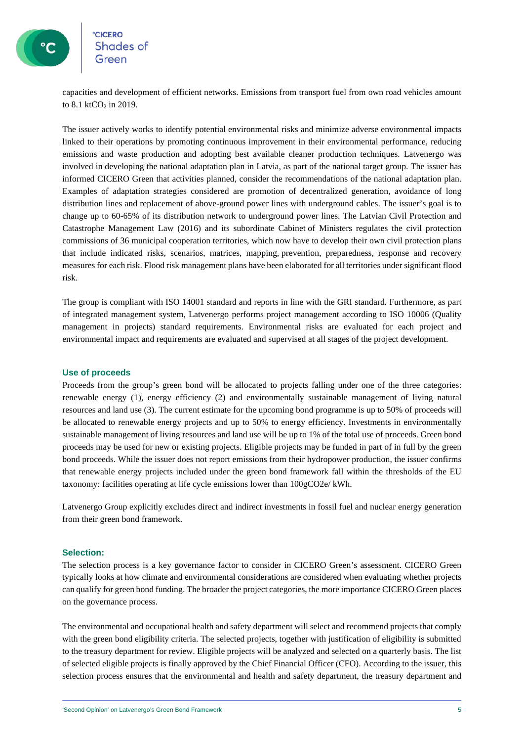

# °<mark>cicero</mark><br>Shades of

capacities and development of efficient networks. Emissions from transport fuel from own road vehicles amount to  $8.1$  ktCO<sub>2</sub> in 2019.

The issuer actively works to identify potential environmental risks and minimize adverse environmental impacts linked to their operations by promoting continuous improvement in their environmental performance, reducing emissions and waste production and adopting best available cleaner production techniques. Latvenergo was involved in developing the national adaptation plan in Latvia, as part of the national target group. The issuer has informed CICERO Green that activities planned, consider the recommendations of the national adaptation plan. Examples of adaptation strategies considered are promotion of decentralized generation, avoidance of long distribution lines and replacement of above-ground power lines with underground cables. The issuer's goal is to change up to 60-65% of its distribution network to underground power lines. The Latvian Civil Protection and Catastrophe Management Law (2016) and its subordinate Cabinet of Ministers regulates the civil protection commissions of 36 municipal cooperation territories, which now have to develop their own civil protection plans that include indicated risks, scenarios, matrices, mapping, prevention, preparedness, response and recovery measures for each risk. Flood risk management plans have been elaborated for all territories under significant flood risk.

The group is compliant with ISO 14001 standard and reports in line with the GRI standard. Furthermore, as part of integrated management system, Latvenergo performs project management according to ISO 10006 (Quality management in projects) standard requirements. Environmental risks are evaluated for each project and environmental impact and requirements are evaluated and supervised at all stages of the project development.

#### **Use of proceeds**

Proceeds from the group's green bond will be allocated to projects falling under one of the three categories: renewable energy (1), energy efficiency (2) and environmentally sustainable management of living natural resources and land use (3). The current estimate for the upcoming bond programme is up to 50% of proceeds will be allocated to renewable energy projects and up to 50% to energy efficiency. Investments in environmentally sustainable management of living resources and land use will be up to 1% of the total use of proceeds. Green bond proceeds may be used for new or existing projects. Eligible projects may be funded in part of in full by the green bond proceeds. While the issuer does not report emissions from their hydropower production, the issuer confirms that renewable energy projects included under the green bond framework fall within the thresholds of the EU taxonomy: facilities operating at life cycle emissions lower than 100gCO2e/ kWh.

Latvenergo Group explicitly excludes direct and indirect investments in fossil fuel and nuclear energy generation from their green bond framework.

#### **Selection:**

The selection process is a key governance factor to consider in CICERO Green's assessment. CICERO Green typically looks at how climate and environmental considerations are considered when evaluating whether projects can qualify for green bond funding. The broader the project categories, the more importance CICERO Green places on the governance process.

The environmental and occupational health and safety department will select and recommend projects that comply with the green bond eligibility criteria. The selected projects, together with justification of eligibility is submitted to the treasury department for review. Eligible projects will be analyzed and selected on a quarterly basis. The list of selected eligible projects is finally approved by the Chief Financial Officer (CFO). According to the issuer, this selection process ensures that the environmental and health and safety department, the treasury department and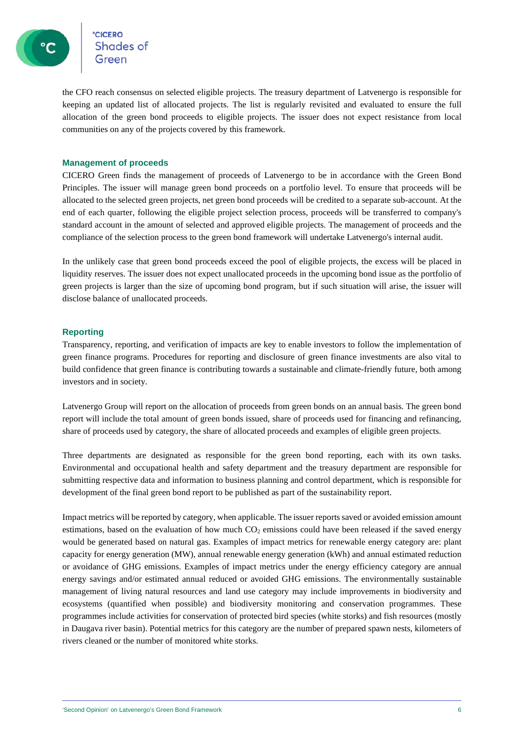

the CFO reach consensus on selected eligible projects. The treasury department of Latvenergo is responsible for keeping an updated list of allocated projects. The list is regularly revisited and evaluated to ensure the full allocation of the green bond proceeds to eligible projects. The issuer does not expect resistance from local communities on any of the projects covered by this framework.

#### **Management of proceeds**

CICERO Green finds the management of proceeds of Latvenergo to be in accordance with the Green Bond Principles. The issuer will manage green bond proceeds on a portfolio level. To ensure that proceeds will be allocated to the selected green projects, net green bond proceeds will be credited to a separate sub-account. At the end of each quarter, following the eligible project selection process, proceeds will be transferred to company's standard account in the amount of selected and approved eligible projects. The management of proceeds and the compliance of the selection process to the green bond framework will undertake Latvenergo's internal audit.

In the unlikely case that green bond proceeds exceed the pool of eligible projects, the excess will be placed in liquidity reserves. The issuer does not expect unallocated proceeds in the upcoming bond issue as the portfolio of green projects is larger than the size of upcoming bond program, but if such situation will arise, the issuer will disclose balance of unallocated proceeds.

#### **Reporting**

Transparency, reporting, and verification of impacts are key to enable investors to follow the implementation of green finance programs. Procedures for reporting and disclosure of green finance investments are also vital to build confidence that green finance is contributing towards a sustainable and climate-friendly future, both among investors and in society.

Latvenergo Group will report on the allocation of proceeds from green bonds on an annual basis. The green bond report will include the total amount of green bonds issued, share of proceeds used for financing and refinancing, share of proceeds used by category, the share of allocated proceeds and examples of eligible green projects.

Three departments are designated as responsible for the green bond reporting, each with its own tasks. Environmental and occupational health and safety department and the treasury department are responsible for submitting respective data and information to business planning and control department, which is responsible for development of the final green bond report to be published as part of the sustainability report.

Impact metrics will be reported by category, when applicable. The issuer reports saved or avoided emission amount estimations, based on the evaluation of how much  $CO<sub>2</sub>$  emissions could have been released if the saved energy would be generated based on natural gas. Examples of impact metrics for renewable energy category are: plant capacity for energy generation (MW), annual renewable energy generation (kWh) and annual estimated reduction or avoidance of GHG emissions. Examples of impact metrics under the energy efficiency category are annual energy savings and/or estimated annual reduced or avoided GHG emissions. The environmentally sustainable management of living natural resources and land use category may include improvements in biodiversity and ecosystems (quantified when possible) and biodiversity monitoring and conservation programmes. These programmes include activities for conservation of protected bird species (white storks) and fish resources (mostly in Daugava river basin). Potential metrics for this category are the number of prepared spawn nests, kilometers of rivers cleaned or the number of monitored white storks.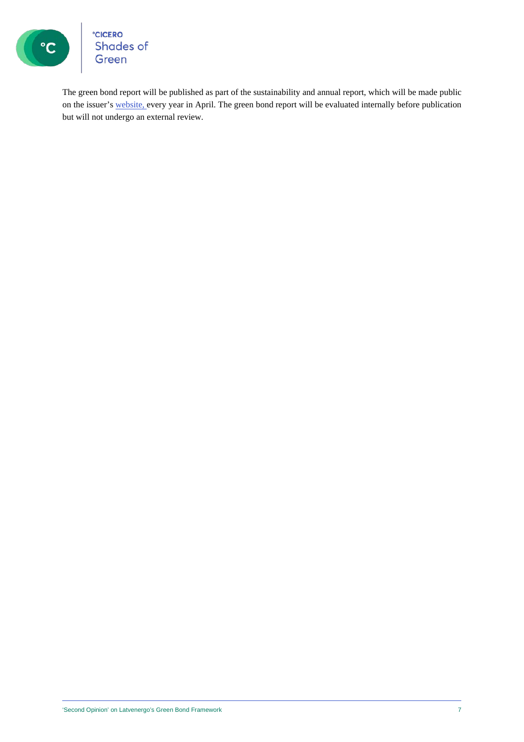

°cicero<br>Shades of<br>Green

The green bond report will be published as part of the sustainability and annual report, which will be made public on the issuer's [website,](https://latvenergo.lv/en) every year in April. The green bond report will be evaluated internally before publication but will not undergo an external review.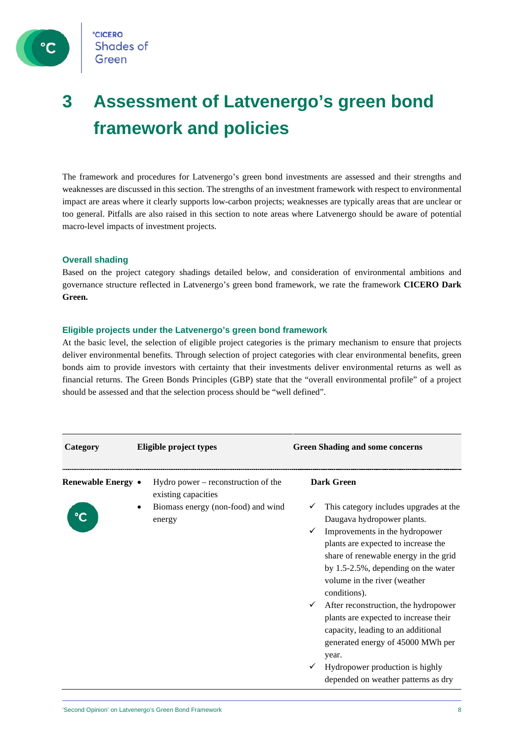

**CICERO Shades of** Green

### **3 Assessment of Latvenergo's green bond framework and policies**

The framework and procedures for Latvenergo's green bond investments are assessed and their strengths and weaknesses are discussed in this section. The strengths of an investment framework with respect to environmental impact are areas where it clearly supports low-carbon projects; weaknesses are typically areas that are unclear or too general. Pitfalls are also raised in this section to note areas where Latvenergo should be aware of potential macro-level impacts of investment projects.

#### **Overall shading**

Based on the project category shadings detailed below, and consideration of environmental ambitions and governance structure reflected in Latvenergo's green bond framework, we rate the framework **CICERO Dark Green.**

#### **Eligible projects under the Latvenergo's green bond framework**

At the basic level, the selection of eligible project categories is the primary mechanism to ensure that projects deliver environmental benefits. Through selection of project categories with clear environmental benefits, green bonds aim to provide investors with certainty that their investments deliver environmental returns as well as financial returns. The Green Bonds Principles (GBP) state that the "overall environmental profile" of a project should be assessed and that the selection process should be "well defined".

| <b>Green Shading and some concerns</b>                                                                                                                                                                                                                                                                                                                                                                                                                                                                                                                                                                                               |
|--------------------------------------------------------------------------------------------------------------------------------------------------------------------------------------------------------------------------------------------------------------------------------------------------------------------------------------------------------------------------------------------------------------------------------------------------------------------------------------------------------------------------------------------------------------------------------------------------------------------------------------|
| <b>Dark Green</b><br>Hydro power $-$ reconstruction of the<br>Biomass energy (non-food) and wind<br>This category includes upgrades at the<br>Daugava hydropower plants.<br>Improvements in the hydropower<br>plants are expected to increase the<br>share of renewable energy in the grid<br>by $1.5-2.5\%$ , depending on the water<br>volume in the river (weather<br>conditions).<br>After reconstruction, the hydropower<br>plants are expected to increase their<br>capacity, leading to an additional<br>generated energy of 45000 MWh per<br>year.<br>Hydropower production is highly<br>depended on weather patterns as dry |
| Eligible project types<br>existing capacities                                                                                                                                                                                                                                                                                                                                                                                                                                                                                                                                                                                        |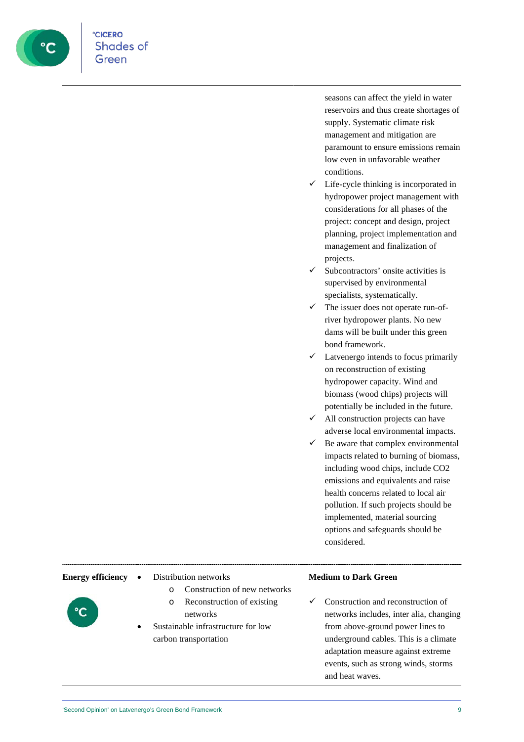

seasons can affect the yield in water reservoirs and thus create shortages of supply. Systematic climate risk management and mitigation are paramount to ensure emissions remain low even in unfavorable weather conditions.

- Life-cycle thinking is incorporated in hydropower project management with considerations for all phases of the project: concept and design, project planning, project implementation and management and finalization of projects.
- Subcontractors' onsite activities is supervised by environmental specialists, systematically.
- $\checkmark$  The issuer does not operate run-ofriver hydropower plants. No new dams will be built under this green bond framework.
- $\checkmark$  Latvenergo intends to focus primarily on reconstruction of existing hydropower capacity. Wind and biomass (wood chips) projects will potentially be included in the future.
- $\checkmark$  All construction projects can have adverse local environmental impacts.
- Be aware that complex environmental impacts related to burning of biomass, including wood chips, include CO2 emissions and equivalents and raise health concerns related to local air pollution. If such projects should be implemented, material sourcing options and safeguards should be considered.

#### **Energy efficiency** • Distribution networks

- o Construction of new networks
- o Reconstruction of existing networks
- Sustainable infrastructure for low carbon transportation

### **Medium to Dark Green**

 Construction and reconstruction of networks includes, inter alia, changing from above-ground power lines to underground cables. This is a climate adaptation measure against extreme events, such as strong winds, storms and heat waves.

|  | the control of the control of the control of the control of the control of |  |
|--|----------------------------------------------------------------------------|--|
|  |                                                                            |  |
|  |                                                                            |  |
|  |                                                                            |  |
|  |                                                                            |  |
|  |                                                                            |  |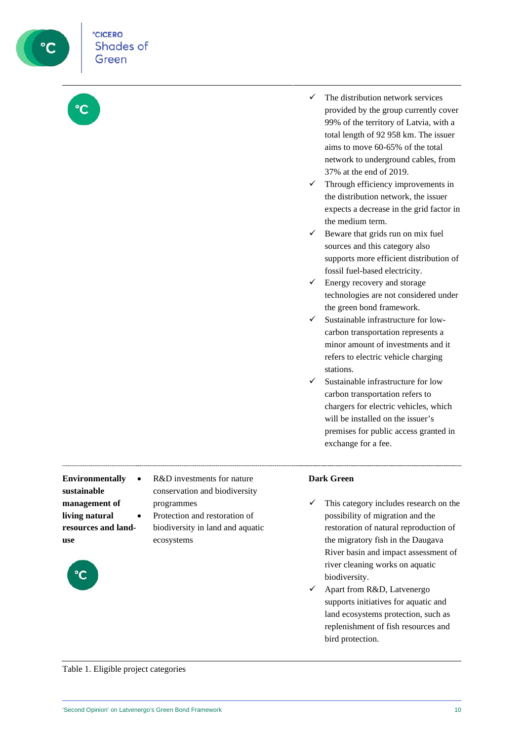

- $\checkmark$  The distribution network services provided by the group currently cover 99% of the territory of Latvia, with a total length of 92 958 km. The issuer aims to move 60-65% of the total network to underground cables, from 37% at the end of 2019.
- $\checkmark$  Through efficiency improvements in the distribution network, the issuer expects a decrease in the grid factor in the medium term.
- $\checkmark$  Beware that grids run on mix fuel sources and this category also supports more efficient distribution of fossil fuel-based electricity.
- $\checkmark$  Energy recovery and storage technologies are not considered under the green bond framework.
- Sustainable infrastructure for lowcarbon transportation represents a minor amount of investments and it refers to electric vehicle charging stations.
- Sustainable infrastructure for low carbon transportation refers to chargers for electric vehicles, which will be installed on the issuer's premises for public access granted in exchange for a fee.

**Environmentally sustainable management of living natural resources and landuse**



- R&D investments for nature conservation and biodiversity programmes
	- Protection and restoration of biodiversity in land and aquatic ecosystems

### **Dark Green**

- $\checkmark$  This category includes research on the possibility of migration and the restoration of natural reproduction of the migratory fish in the Daugava River basin and impact assessment of river cleaning works on aquatic biodiversity.
- Apart from R&D, Latvenergo supports initiatives for aquatic and land ecosystems protection, such as replenishment of fish resources and bird protection.

Table 1. Eligible project categories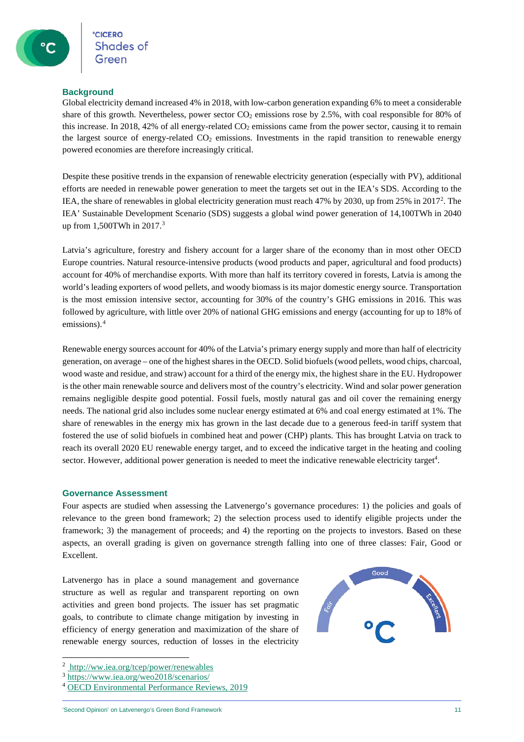Shades of

#### **Background**

Global electricity demand increased 4% in 2018, with low-carbon generation expanding 6% to meet a considerable share of this growth. Nevertheless, power sector  $CO<sub>2</sub>$  emissions rose by 2.5%, with coal responsible for 80% of this increase. In 2018, 42% of all energy-related  $CO<sub>2</sub>$  emissions came from the power sector, causing it to remain the largest source of energy-related  $CO<sub>2</sub>$  emissions. Investments in the rapid transition to renewable energy powered economies are therefore increasingly critical.

Despite these positive trends in the expansion of renewable electricity generation (especially with PV), additional efforts are needed in renewable power generation to meet the targets set out in the IEA's SDS. According to the IEA, the share of renewables in global electricity generation must reach 47% by [2](#page-10-0)030, up from 25% in 2017<sup>2</sup>. The IEA' Sustainable Development Scenario (SDS) suggests a global wind power generation of 14,100TWh in 2040 up from 1,500TWh in 2017.[3](#page-10-1)

Latvia's agriculture, forestry and fishery account for a larger share of the economy than in most other OECD Europe countries. Natural resource-intensive products (wood products and paper, agricultural and food products) account for 40% of merchandise exports. With more than half its territory covered in forests, Latvia is among the world's leading exporters of wood pellets, and woody biomass is its major domestic energy source. Transportation is the most emission intensive sector, accounting for 30% of the country's GHG emissions in 2016. This was followed by agriculture, with little over 20% of national GHG emissions and energy (accounting for up to 18% of emissions).[4](#page-10-2)

Renewable energy sources account for 40% of the Latvia's primary energy supply and more than half of electricity generation, on average – one of the highest shares in the OECD. Solid biofuels (wood pellets, wood chips, charcoal, wood waste and residue, and straw) account for a third of the energy mix, the highest share in the EU. Hydropower is the other main renewable source and delivers most of the country's electricity. Wind and solar power generation remains negligible despite good potential. Fossil fuels, mostly natural gas and oil cover the remaining energy needs. The national grid also includes some nuclear energy estimated at 6% and coal energy estimated at 1%. The share of renewables in the energy mix has grown in the last decade due to a generous feed-in tariff system that fostered the use of solid biofuels in combined heat and power (CHP) plants. This has brought Latvia on track to reach its overall 2020 EU renewable energy target, and to exceed the indicative target in the heating and cooling sector. However, additional power generation is needed to meet the indicative renewable electricity target<sup>4</sup>.

#### **Governance Assessment**

Four aspects are studied when assessing the Latvenergo's governance procedures: 1) the policies and goals of relevance to the green bond framework; 2) the selection process used to identify eligible projects under the framework; 3) the management of proceeds; and 4) the reporting on the projects to investors. Based on these aspects, an overall grading is given on governance strength falling into one of three classes: Fair, Good or Excellent.

Latvenergo has in place a sound management and governance structure as well as regular and transparent reporting on own activities and green bond projects. The issuer has set pragmatic goals, to contribute to climate change mitigation by investing in efficiency of energy generation and maximization of the share of renewable energy sources, reduction of losses in the electricity



<span id="page-10-0"></span><sup>2</sup> <http://ww.iea.org/tcep/power/renewables>

<span id="page-10-1"></span><sup>3</sup> <https://www.iea.org/weo2018/scenarios/>

<span id="page-10-2"></span><sup>4</sup> [OECD Environmental Performance Reviews, 2019](https://www.oecd.org/environment/country-reviews/OECD-EPR-Latvia-2019-Abridged-Version.pdf)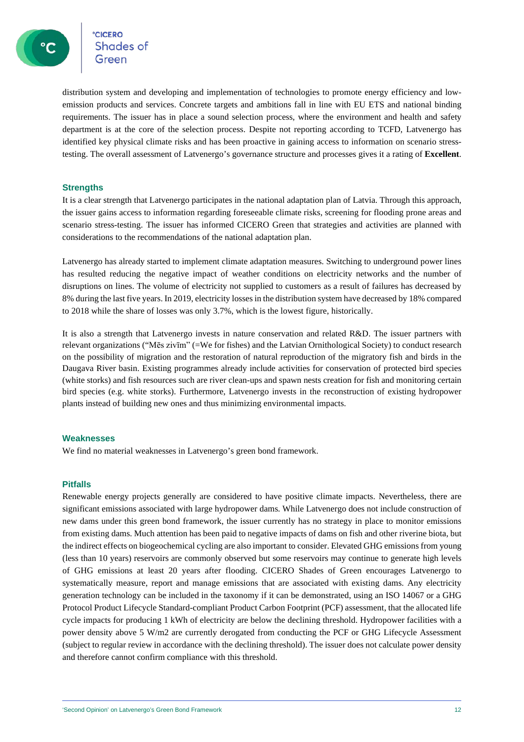сісеко<br>Shades of

distribution system and developing and implementation of technologies to promote energy efficiency and lowemission products and services. Concrete targets and ambitions fall in line with EU ETS and national binding requirements. The issuer has in place a sound selection process, where the environment and health and safety department is at the core of the selection process. Despite not reporting according to TCFD, Latvenergo has identified key physical climate risks and has been proactive in gaining access to information on scenario stresstesting. The overall assessment of Latvenergo's governance structure and processes gives it a rating of **Excellent**.

#### **Strengths**

It is a clear strength that Latvenergo participates in the national adaptation plan of Latvia. Through this approach, the issuer gains access to information regarding foreseeable climate risks, screening for flooding prone areas and scenario stress-testing. The issuer has informed CICERO Green that strategies and activities are planned with considerations to the recommendations of the national adaptation plan.

Latvenergo has already started to implement climate adaptation measures. Switching to underground power lines has resulted reducing the negative impact of weather conditions on electricity networks and the number of disruptions on lines. The volume of electricity not supplied to customers as a result of failures has decreased by 8% during the last five years. In 2019, electricity losses in the distribution system have decreased by 18% compared to 2018 while the share of losses was only 3.7%, which is the lowest figure, historically.

It is also a strength that Latvenergo invests in nature conservation and related R&D. The issuer partners with relevant organizations ("Mēs zivīm" (=We for fishes) and the Latvian Ornithological Society) to conduct research on the possibility of migration and the restoration of natural reproduction of the migratory fish and birds in the Daugava River basin. Existing programmes already include activities for conservation of protected bird species (white storks) and fish resources such are river clean-ups and spawn nests creation for fish and monitoring certain bird species (e.g. white storks). Furthermore, Latvenergo invests in the reconstruction of existing hydropower plants instead of building new ones and thus minimizing environmental impacts.

#### **Weaknesses**

We find no material weaknesses in Latvenergo's green bond framework.

#### **Pitfalls**

Renewable energy projects generally are considered to have positive climate impacts. Nevertheless, there are significant emissions associated with large hydropower dams. While Latvenergo does not include construction of new dams under this green bond framework, the issuer currently has no strategy in place to monitor emissions from existing dams. Much attention has been paid to negative impacts of dams on fish and other riverine biota, but the indirect effects on biogeochemical cycling are also important to consider. Elevated GHG emissions from young (less than 10 years) reservoirs are commonly observed but some reservoirs may continue to generate high levels of GHG emissions at least 20 years after flooding. CICERO Shades of Green encourages Latvenergo to systematically measure, report and manage emissions that are associated with existing dams. Any electricity generation technology can be included in the taxonomy if it can be demonstrated, using an ISO 14067 or a GHG Protocol Product Lifecycle Standard-compliant Product Carbon Footprint (PCF) assessment, that the allocated life cycle impacts for producing 1 kWh of electricity are below the declining threshold. Hydropower facilities with a power density above 5 W/m2 are currently derogated from conducting the PCF or GHG Lifecycle Assessment (subject to regular review in accordance with the declining threshold). The issuer does not calculate power density and therefore cannot confirm compliance with this threshold.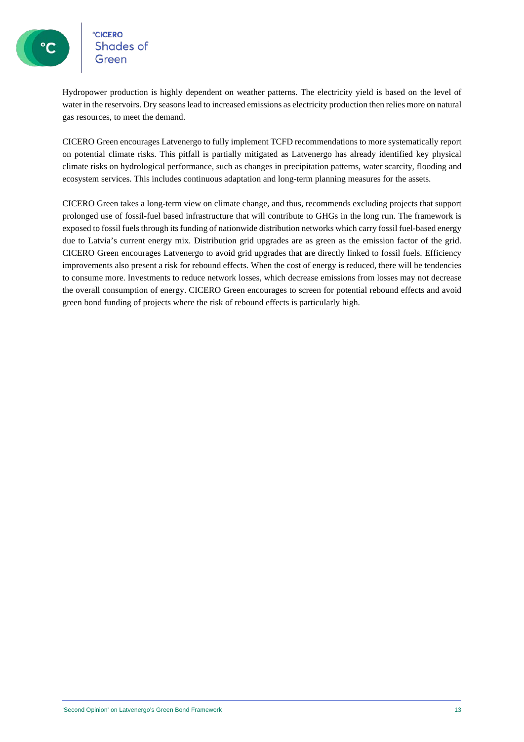**CICERO**<br>Shades of

Hydropower production is highly dependent on weather patterns. The electricity yield is based on the level of water in the reservoirs. Dry seasons lead to increased emissions as electricity production then relies more on natural gas resources, to meet the demand.

CICERO Green encourages Latvenergo to fully implement TCFD recommendations to more systematically report on potential climate risks. This pitfall is partially mitigated as Latvenergo has already identified key physical climate risks on hydrological performance, such as changes in precipitation patterns, water scarcity, flooding and ecosystem services. This includes continuous adaptation and long-term planning measures for the assets.

CICERO Green takes a long-term view on climate change, and thus, recommends excluding projects that support prolonged use of fossil-fuel based infrastructure that will contribute to GHGs in the long run. The framework is exposed to fossil fuels through its funding of nationwide distribution networks which carry fossil fuel-based energy due to Latvia's current energy mix. Distribution grid upgrades are as green as the emission factor of the grid. CICERO Green encourages Latvenergo to avoid grid upgrades that are directly linked to fossil fuels. Efficiency improvements also present a risk for rebound effects. When the cost of energy is reduced, there will be tendencies to consume more. Investments to reduce network losses, which decrease emissions from losses may not decrease the overall consumption of energy. CICERO Green encourages to screen for potential rebound effects and avoid green bond funding of projects where the risk of rebound effects is particularly high.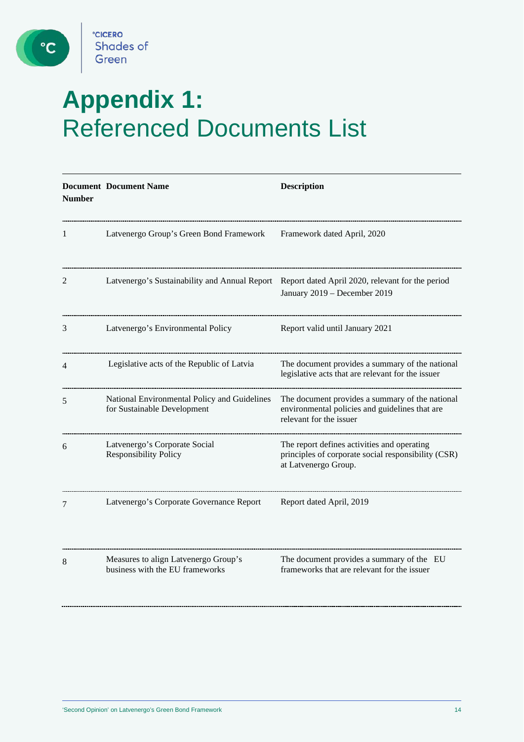

 $\mathbf{C}$ 

## **Appendix 1:** Referenced Documents List

| Latvenergo Group's Green Bond Framework                                     | Framework dated April, 2020                                                                                                  |
|-----------------------------------------------------------------------------|------------------------------------------------------------------------------------------------------------------------------|
| Latvenergo's Sustainability and Annual Report                               | Report dated April 2020, relevant for the period<br>January 2019 - December 2019                                             |
| Latvenergo's Environmental Policy                                           | Report valid until January 2021                                                                                              |
| Legislative acts of the Republic of Latvia                                  | The document provides a summary of the national<br>legislative acts that are relevant for the issuer                         |
| National Environmental Policy and Guidelines<br>for Sustainable Development | The document provides a summary of the national<br>environmental policies and guidelines that are<br>relevant for the issuer |
| Latvenergo's Corporate Social<br><b>Responsibility Policy</b>               | The report defines activities and operating<br>principles of corporate social responsibility (CSR)<br>at Latvenergo Group.   |
| Latvenergo's Corporate Governance Report                                    | Report dated April, 2019                                                                                                     |
| Measures to align Latvenergo Group's<br>business with the EU frameworks     | The document provides a summary of the EU<br>frameworks that are relevant for the issuer                                     |
|                                                                             |                                                                                                                              |